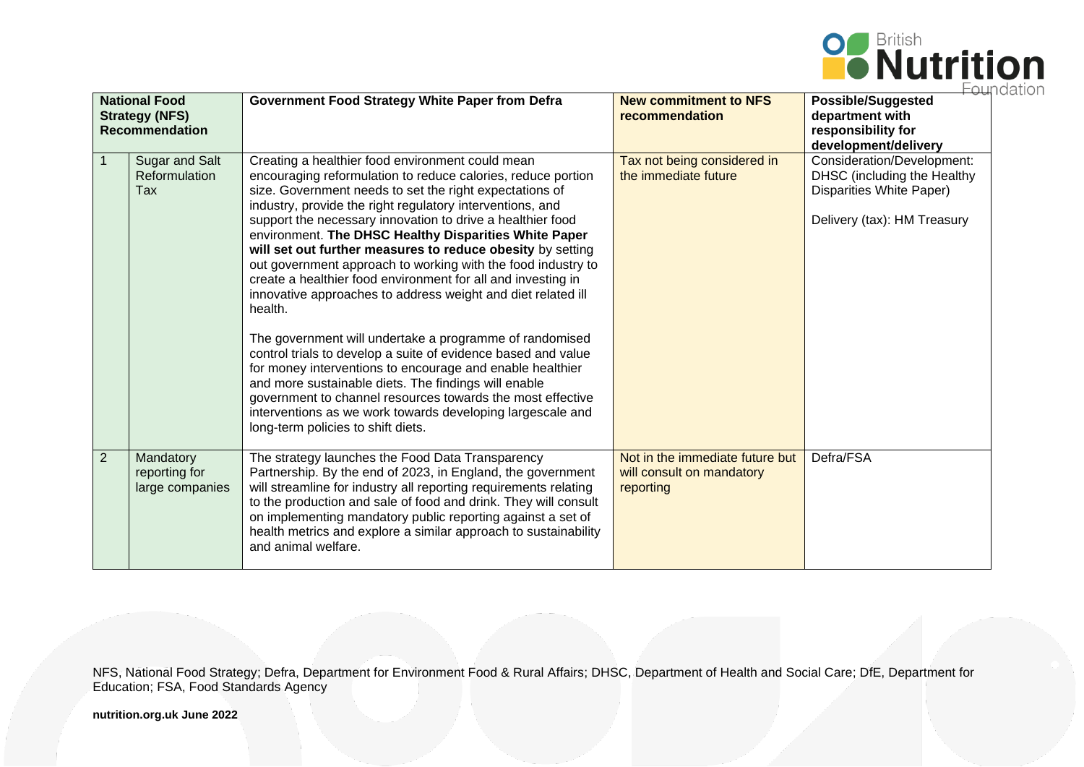

| <b>National Food</b><br><b>Strategy (NFS)</b><br><b>Recommendation</b> |                                               | <b>Government Food Strategy White Paper from Defra</b>                                                                                                                                                                                                                                                                                                                                                                                                                                                                                                                                                                                                                                                                                                                                                                                                                                                                                                                                                                                                      | <b>New commitment to NFS</b><br>recommendation                            | .<br><b>Possible/Suggested</b><br>department with<br>responsibility for<br>development/delivery                      |
|------------------------------------------------------------------------|-----------------------------------------------|-------------------------------------------------------------------------------------------------------------------------------------------------------------------------------------------------------------------------------------------------------------------------------------------------------------------------------------------------------------------------------------------------------------------------------------------------------------------------------------------------------------------------------------------------------------------------------------------------------------------------------------------------------------------------------------------------------------------------------------------------------------------------------------------------------------------------------------------------------------------------------------------------------------------------------------------------------------------------------------------------------------------------------------------------------------|---------------------------------------------------------------------------|----------------------------------------------------------------------------------------------------------------------|
| $\mathbf{1}$                                                           | <b>Sugar and Salt</b><br>Reformulation<br>Tax | Creating a healthier food environment could mean<br>encouraging reformulation to reduce calories, reduce portion<br>size. Government needs to set the right expectations of<br>industry, provide the right regulatory interventions, and<br>support the necessary innovation to drive a healthier food<br>environment. The DHSC Healthy Disparities White Paper<br>will set out further measures to reduce obesity by setting<br>out government approach to working with the food industry to<br>create a healthier food environment for all and investing in<br>innovative approaches to address weight and diet related ill<br>health.<br>The government will undertake a programme of randomised<br>control trials to develop a suite of evidence based and value<br>for money interventions to encourage and enable healthier<br>and more sustainable diets. The findings will enable<br>government to channel resources towards the most effective<br>interventions as we work towards developing largescale and<br>long-term policies to shift diets. | Tax not being considered in<br>the immediate future                       | Consideration/Development:<br>DHSC (including the Healthy<br>Disparities White Paper)<br>Delivery (tax): HM Treasury |
| 2                                                                      | Mandatory<br>reporting for<br>large companies | The strategy launches the Food Data Transparency<br>Partnership. By the end of 2023, in England, the government<br>will streamline for industry all reporting requirements relating<br>to the production and sale of food and drink. They will consult<br>on implementing mandatory public reporting against a set of<br>health metrics and explore a similar approach to sustainability<br>and animal welfare.                                                                                                                                                                                                                                                                                                                                                                                                                                                                                                                                                                                                                                             | Not in the immediate future but<br>will consult on mandatory<br>reporting | Defra/FSA                                                                                                            |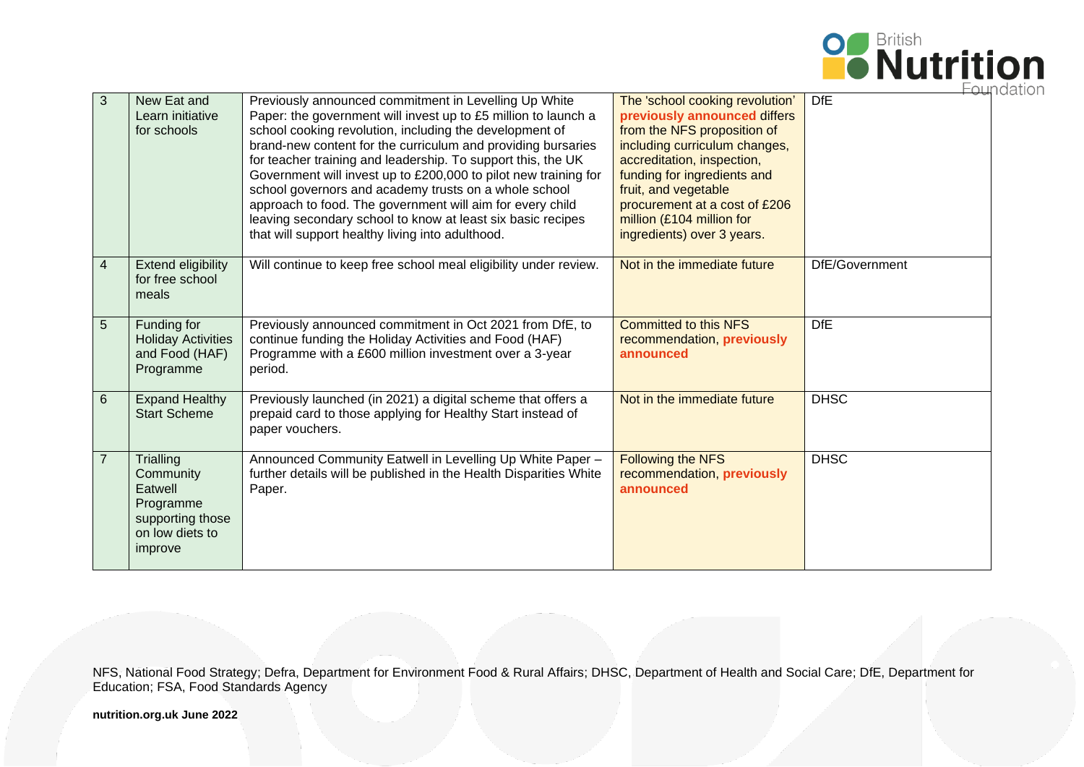

|                |                                                                                                         |                                                                                                                                                                                                                                                                                                                                                                                                                                                                                                                                                                                                                                |                                                                                                                                                                                                                                                                                                                  | ⊏⊖⊟            |
|----------------|---------------------------------------------------------------------------------------------------------|--------------------------------------------------------------------------------------------------------------------------------------------------------------------------------------------------------------------------------------------------------------------------------------------------------------------------------------------------------------------------------------------------------------------------------------------------------------------------------------------------------------------------------------------------------------------------------------------------------------------------------|------------------------------------------------------------------------------------------------------------------------------------------------------------------------------------------------------------------------------------------------------------------------------------------------------------------|----------------|
| 3              | New Eat and<br>Learn initiative<br>for schools                                                          | Previously announced commitment in Levelling Up White<br>Paper: the government will invest up to £5 million to launch a<br>school cooking revolution, including the development of<br>brand-new content for the curriculum and providing bursaries<br>for teacher training and leadership. To support this, the UK<br>Government will invest up to £200,000 to pilot new training for<br>school governors and academy trusts on a whole school<br>approach to food. The government will aim for every child<br>leaving secondary school to know at least six basic recipes<br>that will support healthy living into adulthood. | The 'school cooking revolution'<br>previously announced differs<br>from the NFS proposition of<br>including curriculum changes,<br>accreditation, inspection,<br>funding for ingredients and<br>fruit, and vegetable<br>procurement at a cost of £206<br>million (£104 million for<br>ingredients) over 3 years. | <b>DfE</b>     |
| 4              | Extend eligibility<br>for free school<br>meals                                                          | Will continue to keep free school meal eligibility under review.                                                                                                                                                                                                                                                                                                                                                                                                                                                                                                                                                               | Not in the immediate future                                                                                                                                                                                                                                                                                      | DfE/Government |
| 5              | Funding for<br><b>Holiday Activities</b><br>and Food (HAF)<br>Programme                                 | Previously announced commitment in Oct 2021 from DfE, to<br>continue funding the Holiday Activities and Food (HAF)<br>Programme with a £600 million investment over a 3-year<br>period.                                                                                                                                                                                                                                                                                                                                                                                                                                        | <b>Committed to this NFS</b><br>recommendation, previously<br>announced                                                                                                                                                                                                                                          | <b>DfE</b>     |
| 6              | <b>Expand Healthy</b><br><b>Start Scheme</b>                                                            | Previously launched (in 2021) a digital scheme that offers a<br>prepaid card to those applying for Healthy Start instead of<br>paper vouchers.                                                                                                                                                                                                                                                                                                                                                                                                                                                                                 | Not in the immediate future                                                                                                                                                                                                                                                                                      | <b>DHSC</b>    |
| $\overline{7}$ | <b>Trialling</b><br>Community<br>Eatwell<br>Programme<br>supporting those<br>on low diets to<br>improve | Announced Community Eatwell in Levelling Up White Paper -<br>further details will be published in the Health Disparities White<br>Paper.                                                                                                                                                                                                                                                                                                                                                                                                                                                                                       | <b>Following the NFS</b><br>recommendation, previously<br>announced                                                                                                                                                                                                                                              | <b>DHSC</b>    |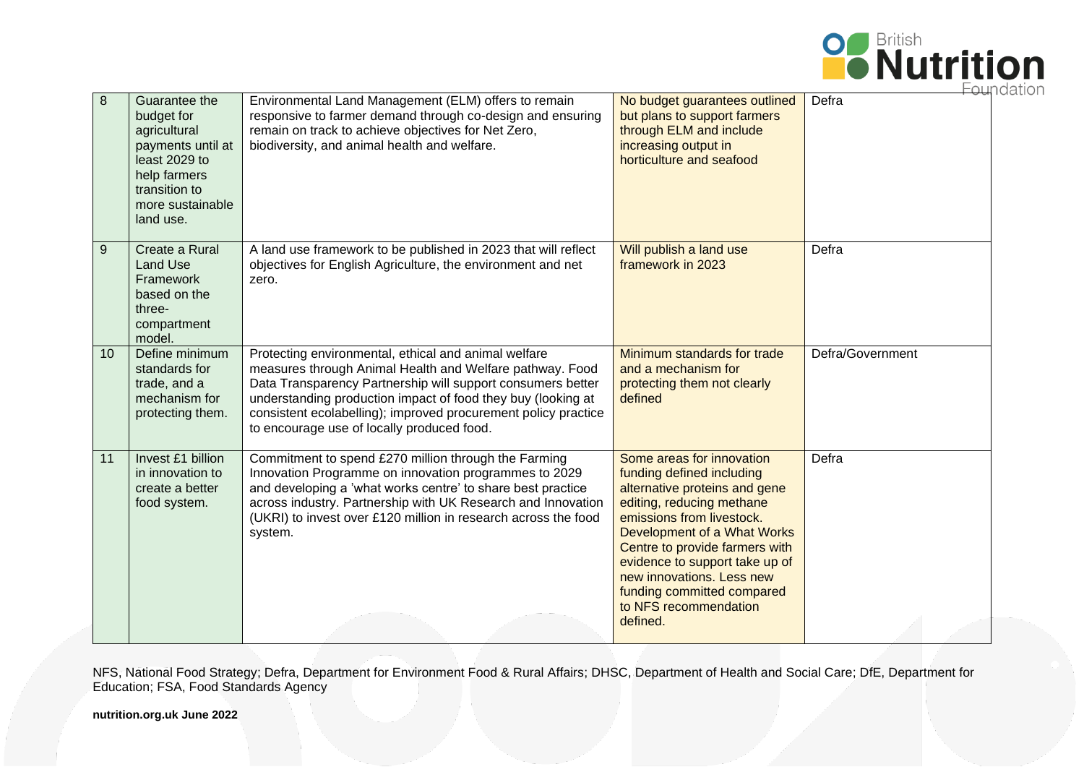

| 8  | Guarantee the<br>budget for<br>agricultural<br>payments until at<br>least 2029 to<br>help farmers<br>transition to<br>more sustainable<br>land use. | Environmental Land Management (ELM) offers to remain<br>responsive to farmer demand through co-design and ensuring<br>remain on track to achieve objectives for Net Zero,<br>biodiversity, and animal health and welfare.                                                                                                                                       | No budget guarantees outlined<br>but plans to support farmers<br>through ELM and include<br>increasing output in<br>horticulture and seafood                                                                                                                                                                                                         | דו ור )⊏ H<br>Defra |
|----|-----------------------------------------------------------------------------------------------------------------------------------------------------|-----------------------------------------------------------------------------------------------------------------------------------------------------------------------------------------------------------------------------------------------------------------------------------------------------------------------------------------------------------------|------------------------------------------------------------------------------------------------------------------------------------------------------------------------------------------------------------------------------------------------------------------------------------------------------------------------------------------------------|---------------------|
| 9  | Create a Rural<br><b>Land Use</b><br>Framework<br>based on the<br>three-<br>compartment<br>model.                                                   | A land use framework to be published in 2023 that will reflect<br>objectives for English Agriculture, the environment and net<br>zero.                                                                                                                                                                                                                          | Will publish a land use<br>framework in 2023                                                                                                                                                                                                                                                                                                         | Defra               |
| 10 | Define minimum<br>standards for<br>trade, and a<br>mechanism for<br>protecting them.                                                                | Protecting environmental, ethical and animal welfare<br>measures through Animal Health and Welfare pathway. Food<br>Data Transparency Partnership will support consumers better<br>understanding production impact of food they buy (looking at<br>consistent ecolabelling); improved procurement policy practice<br>to encourage use of locally produced food. | Minimum standards for trade<br>and a mechanism for<br>protecting them not clearly<br>defined                                                                                                                                                                                                                                                         | Defra/Government    |
| 11 | Invest £1 billion<br>in innovation to<br>create a better<br>food system.                                                                            | Commitment to spend £270 million through the Farming<br>Innovation Programme on innovation programmes to 2029<br>and developing a 'what works centre' to share best practice<br>across industry. Partnership with UK Research and Innovation<br>(UKRI) to invest over £120 million in research across the food<br>system.                                       | Some areas for innovation<br>funding defined including<br>alternative proteins and gene<br>editing, reducing methane<br>emissions from livestock.<br>Development of a What Works<br>Centre to provide farmers with<br>evidence to support take up of<br>new innovations. Less new<br>funding committed compared<br>to NFS recommendation<br>defined. | Defra               |